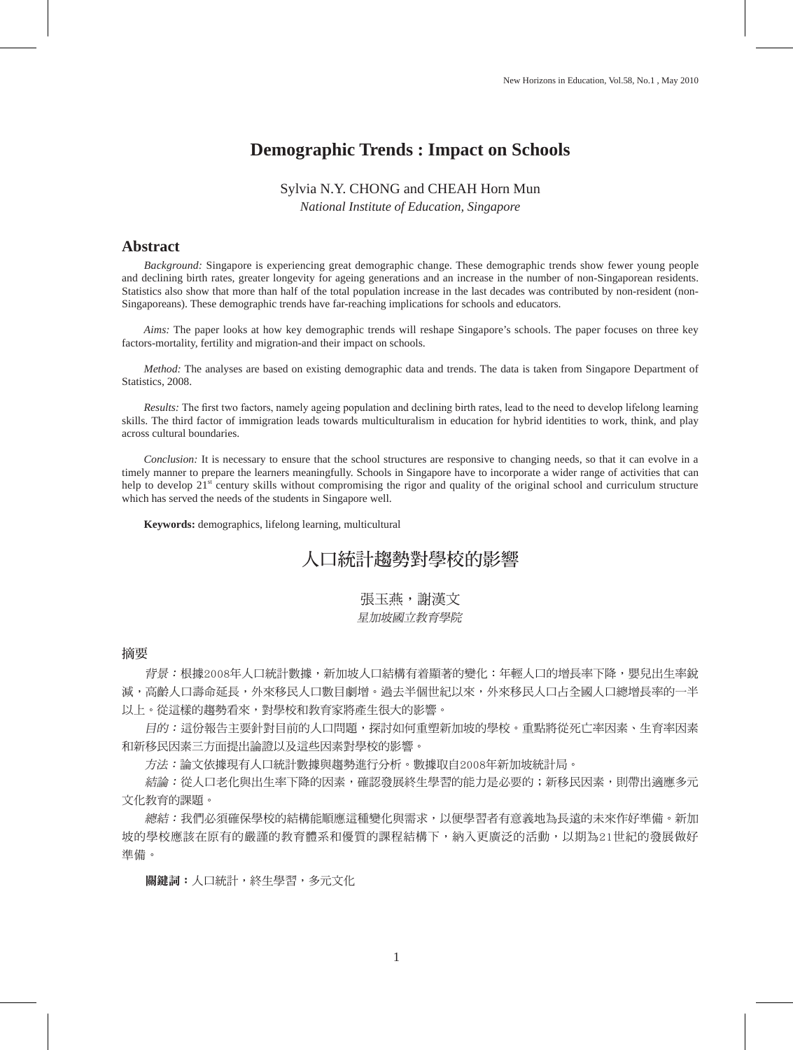# **Demographic Trends : Impact on Schools**

### Sylvia N.Y. CHONG and CHEAH Horn Mun

*National Institute of Education, Singapore*

### **Abstract**

 *Background:* Singapore is experiencing great demographic change. These demographic trends show fewer young people and declining birth rates, greater longevity for ageing generations and an increase in the number of non-Singaporean residents. Statistics also show that more than half of the total population increase in the last decades was contributed by non-resident (non-Singaporeans). These demographic trends have far-reaching implications for schools and educators.

*Aims:* The paper looks at how key demographic trends will reshape Singapore's schools. The paper focuses on three key factors-mortality, fertility and migration-and their impact on schools.

*Method:* The analyses are based on existing demographic data and trends. The data is taken from Singapore Department of Statistics, 2008.

 *Results:* The first two factors, namely ageing population and declining birth rates, lead to the need to develop lifelong learning skills. The third factor of immigration leads towards multiculturalism in education for hybrid identities to work, think, and play across cultural boundaries.

 *Conclusion:* It is necessary to ensure that the school structures are responsive to changing needs, so that it can evolve in a timely manner to prepare the learners meaningfully. Schools in Singapore have to incorporate a wider range of activities that can help to develop  $21<sup>st</sup>$  century skills without compromising the rigor and quality of the original school and curriculum structure which has served the needs of the students in Singapore well.

**Keywords:** demographics, lifelong learning, multicultural

# 人口統計趨勢對學校的影響

張玉燕,謝漢文 星加坡國立教育學院

摘要

背景:根據2008年人口統計數據,新加坡人口結構有着顯著的變化:年輕人口的增長率下降,嬰兒出生率銳 減,高齡人口壽命延長,外來移民人口數目劇增。過去半個世紀以來,外來移民人口占全國人口總增長率的一半 以上。從這樣的趨勢看來,對學校和教育家將產生很大的影響。

 目的:這份報告主要針對目前的人口問題,探討如何重塑新加坡的學校。重點將從死亡率因素、生育率因素 和新移民因素三方面提出論證以及這些因素對學校的影響。

方法:論文依據現有人口統計數據與趨勢進行分析。數據取自2008年新加坡統計局。

結論:從人口老化與出生率下降的因素,確認發展終生學習的能力是必要的;新移民因素,則帶出適應多元 文化教育的課題。

 總結:我們必須確保學校的結構能順應這種變化與需求,以便學習者有意義地為長遠的未來作好準備。新加 坡的學校應該在原有的嚴謹的教育體系和優質的課程結構下,納入更廣泛的活動,以期為21世紀的發展做好 準備。

關鍵詞:人口統計,終生學習,多元文化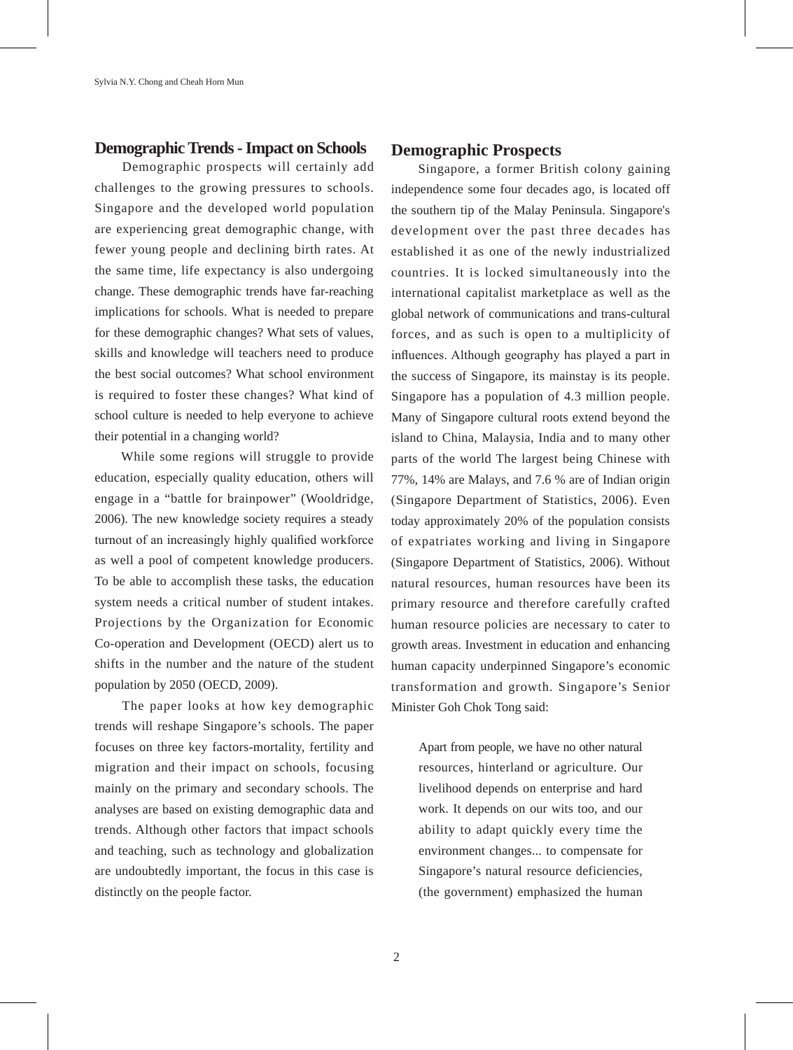# **Demographic Trends - Impact on Schools**

 Demographic prospects will certainly add challenges to the growing pressures to schools. Singapore and the developed world population are experiencing great demographic change, with fewer young people and declining birth rates. At the same time, life expectancy is also undergoing change. These demographic trends have far-reaching implications for schools. What is needed to prepare for these demographic changes? What sets of values, skills and knowledge will teachers need to produce the best social outcomes? What school environment is required to foster these changes? What kind of school culture is needed to help everyone to achieve their potential in a changing world?

 While some regions will struggle to provide education, especially quality education, others will engage in a "battle for brainpower" (Wooldridge, 2006). The new knowledge society requires a steady turnout of an increasingly highly qualified workforce as well a pool of competent knowledge producers. To be able to accomplish these tasks, the education system needs a critical number of student intakes. Projections by the Organization for Economic Co-operation and Development (OECD) alert us to shifts in the number and the nature of the student population by 2050 (OECD, 2009).

 The paper looks at how key demographic trends will reshape Singapore's schools. The paper focuses on three key factors-mortality, fertility and migration and their impact on schools, focusing mainly on the primary and secondary schools. The analyses are based on existing demographic data and trends. Although other factors that impact schools and teaching, such as technology and globalization are undoubtedly important, the focus in this case is distinctly on the people factor.

## **Demographic Prospects**

 Singapore, a former British colony gaining independence some four decades ago, is located off the southern tip of the Malay Peninsula. Singapore's development over the past three decades has established it as one of the newly industrialized countries. It is locked simultaneously into the international capitalist marketplace as well as the global network of communications and trans-cultural forces, and as such is open to a multiplicity of influences. Although geography has played a part in the success of Singapore, its mainstay is its people. Singapore has a population of 4.3 million people. Many of Singapore cultural roots extend beyond the island to China, Malaysia, India and to many other parts of the world The largest being Chinese with 77%, 14% are Malays, and 7.6 % are of Indian origin (Singapore Department of Statistics, 2006). Even today approximately 20% of the population consists of expatriates working and living in Singapore (Singapore Department of Statistics, 2006). Without natural resources, human resources have been its primary resource and therefore carefully crafted human resource policies are necessary to cater to growth areas. Investment in education and enhancing human capacity underpinned Singapore's economic transformation and growth. Singapore's Senior Minister Goh Chok Tong said:

Apart from people, we have no other natural resources, hinterland or agriculture. Our livelihood depends on enterprise and hard work. It depends on our wits too, and our ability to adapt quickly every time the environment changes... to compensate for Singapore's natural resource deficiencies, (the government) emphasized the human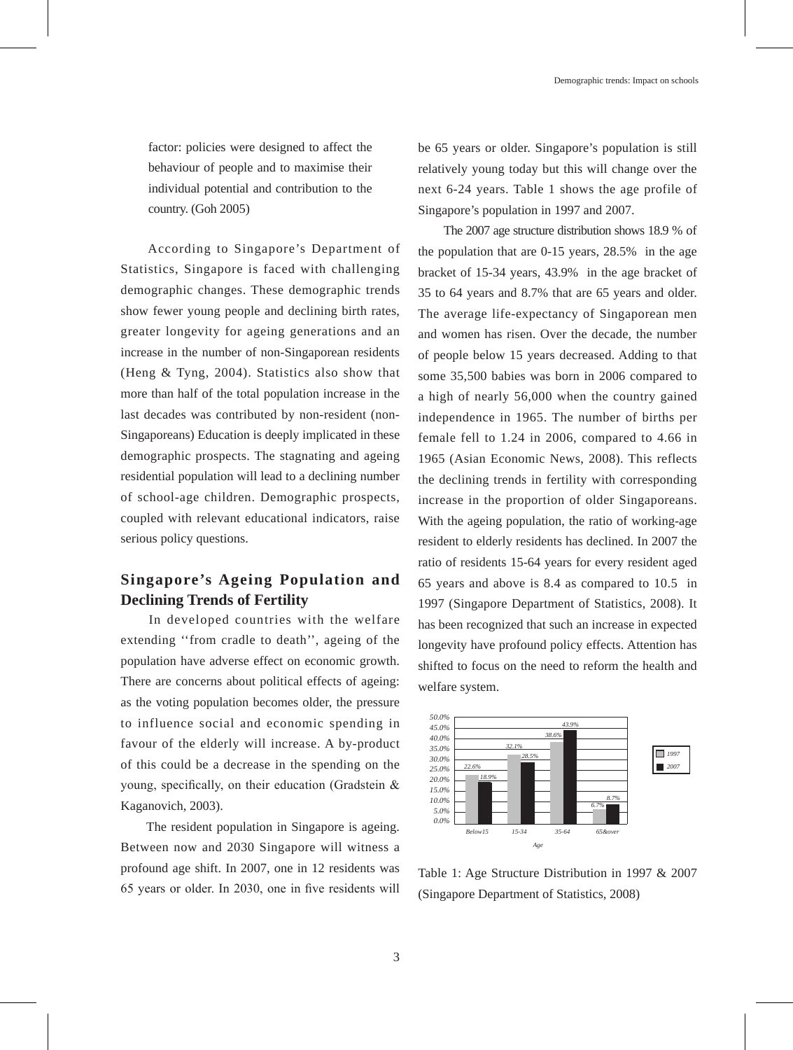factor: policies were designed to affect the behaviour of people and to maximise their individual potential and contribution to the country. (Goh 2005)

 According to Singapore's Department of Statistics, Singapore is faced with challenging demographic changes. These demographic trends show fewer young people and declining birth rates, greater longevity for ageing generations and an increase in the number of non-Singaporean residents (Heng & Tyng, 2004). Statistics also show that more than half of the total population increase in the last decades was contributed by non-resident (non-Singaporeans) Education is deeply implicated in these demographic prospects. The stagnating and ageing residential population will lead to a declining number of school-age children. Demographic prospects, coupled with relevant educational indicators, raise serious policy questions.

# **Singapore's Ageing Population and Declining Trends of Fertility**

 In developed countries with the welfare extending ''from cradle to death'', ageing of the population have adverse effect on economic growth. There are concerns about political effects of ageing: as the voting population becomes older, the pressure to influence social and economic spending in favour of the elderly will increase. A by-product of this could be a decrease in the spending on the young, specifically, on their education (Gradstein & Kaganovich, 2003).

 The resident population in Singapore is ageing. Between now and 2030 Singapore will witness a profound age shift. In 2007, one in 12 residents was 65 years or older. In 2030, one in five residents will be 65 years or older. Singapore's population is still relatively young today but this will change over the next 6-24 years. Table 1 shows the age profile of Singapore's population in 1997 and 2007.

 The 2007 age structure distribution shows 18.9 % of the population that are 0-15 years, 28.5% in the age bracket of 15-34 years, 43.9% in the age bracket of 35 to 64 years and 8.7% that are 65 years and older. The average life-expectancy of Singaporean men and women has risen. Over the decade, the number of people below 15 years decreased. Adding to that some 35,500 babies was born in 2006 compared to a high of nearly 56,000 when the country gained independence in 1965. The number of births per female fell to 1.24 in 2006, compared to 4.66 in 1965 (Asian Economic News, 2008). This reflects the declining trends in fertility with corresponding increase in the proportion of older Singaporeans. With the ageing population, the ratio of working-age resident to elderly residents has declined. In 2007 the ratio of residents 15-64 years for every resident aged 65 years and above is 8.4 as compared to 10.5 in 1997 (Singapore Department of Statistics, 2008). It has been recognized that such an increase in expected longevity have profound policy effects. Attention has shifted to focus on the need to reform the health and welfare system.



Table 1: Age Structure Distribution in 1997 & 2007 (Singapore Department of Statistics, 2008)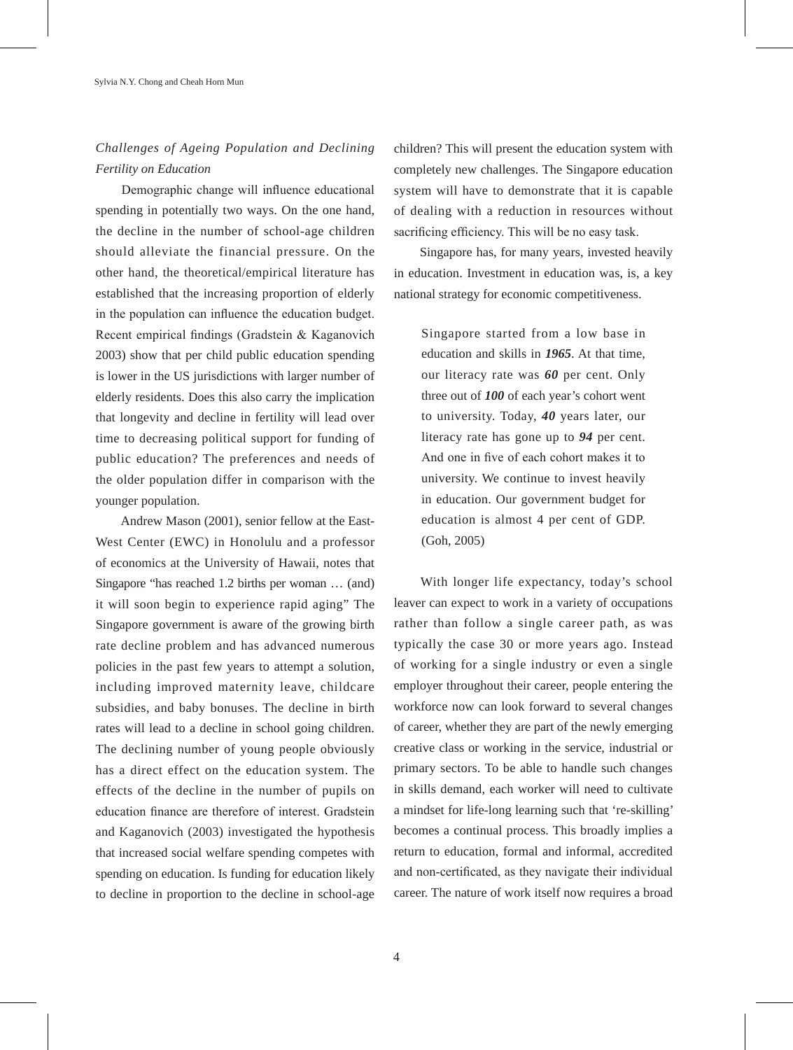# *Challenges of Ageing Population and Declining Fertility on Education*

 Demographic change will influence educational spending in potentially two ways. On the one hand, the decline in the number of school-age children should alleviate the financial pressure. On the other hand, the theoretical/empirical literature has established that the increasing proportion of elderly in the population can influence the education budget. Recent empirical findings (Gradstein & Kaganovich 2003) show that per child public education spending is lower in the US jurisdictions with larger number of elderly residents. Does this also carry the implication that longevity and decline in fertility will lead over time to decreasing political support for funding of public education? The preferences and needs of the older population differ in comparison with the younger population.

 Andrew Mason (2001), senior fellow at the East-West Center (EWC) in Honolulu and a professor of economics at the University of Hawaii, notes that Singapore "has reached 1.2 births per woman … (and) it will soon begin to experience rapid aging" The Singapore government is aware of the growing birth rate decline problem and has advanced numerous policies in the past few years to attempt a solution, including improved maternity leave, childcare subsidies, and baby bonuses. The decline in birth rates will lead to a decline in school going children. The declining number of young people obviously has a direct effect on the education system. The effects of the decline in the number of pupils on education finance are therefore of interest. Gradstein and Kaganovich (2003) investigated the hypothesis that increased social welfare spending competes with spending on education. Is funding for education likely to decline in proportion to the decline in school-age

children? This will present the education system with completely new challenges. The Singapore education system will have to demonstrate that it is capable of dealing with a reduction in resources without sacrificing efficiency. This will be no easy task.

 Singapore has, for many years, invested heavily in education. Investment in education was, is, a key national strategy for economic competitiveness.

Singapore started from a low base in education and skills in *1965*. At that time, our literacy rate was *60* per cent. Only three out of *100* of each year's cohort went to university. Today, *40* years later, our literacy rate has gone up to *94* per cent. And one in five of each cohort makes it to university. We continue to invest heavily in education. Our government budget for education is almost 4 per cent of GDP. (Goh, 2005)

 With longer life expectancy, today's school leaver can expect to work in a variety of occupations rather than follow a single career path, as was typically the case 30 or more years ago. Instead of working for a single industry or even a single employer throughout their career, people entering the workforce now can look forward to several changes of career, whether they are part of the newly emerging creative class or working in the service, industrial or primary sectors. To be able to handle such changes in skills demand, each worker will need to cultivate a mindset for life-long learning such that 're-skilling' becomes a continual process. This broadly implies a return to education, formal and informal, accredited and non-certificated, as they navigate their individual career. The nature of work itself now requires a broad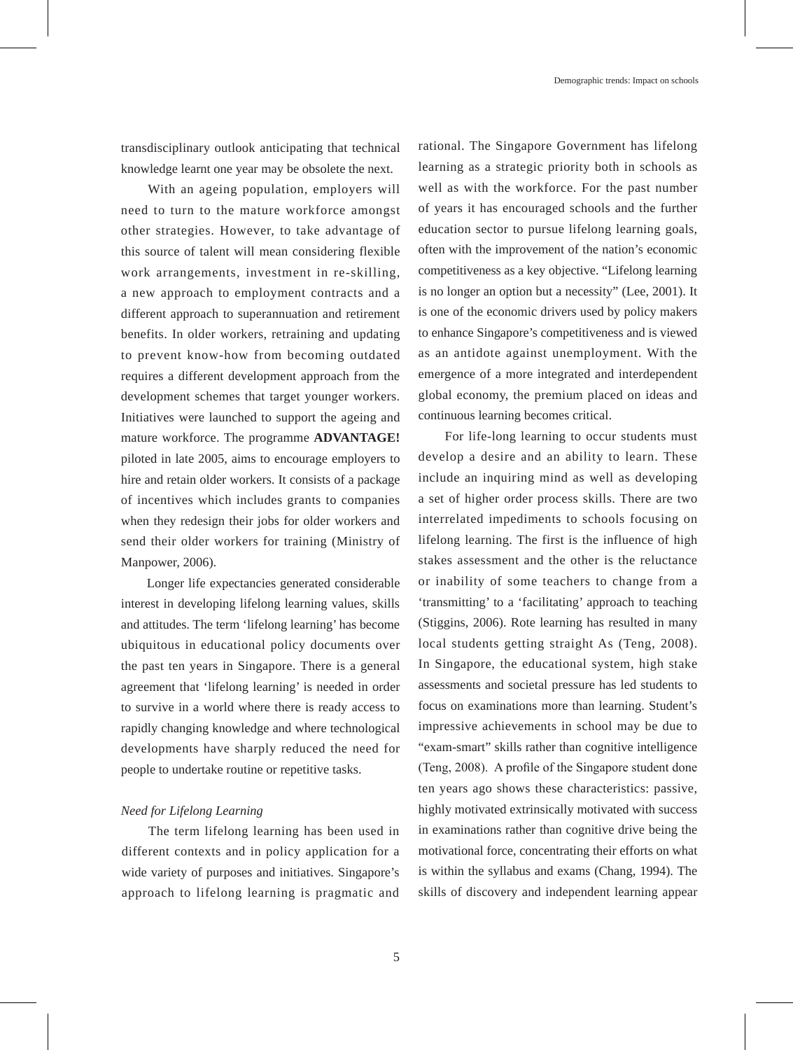transdisciplinary outlook anticipating that technical knowledge learnt one year may be obsolete the next.

 With an ageing population, employers will need to turn to the mature workforce amongst other strategies. However, to take advantage of this source of talent will mean considering flexible work arrangements, investment in re-skilling, a new approach to employment contracts and a different approach to superannuation and retirement benefits. In older workers, retraining and updating to prevent know-how from becoming outdated requires a different development approach from the development schemes that target younger workers. Initiatives were launched to support the ageing and mature workforce. The programme **ADVANTAGE!** piloted in late 2005, aims to encourage employers to hire and retain older workers. It consists of a package of incentives which includes grants to companies when they redesign their jobs for older workers and send their older workers for training (Ministry of Manpower, 2006).

 Longer life expectancies generated considerable interest in developing lifelong learning values, skills and attitudes. The term 'lifelong learning' has become ubiquitous in educational policy documents over the past ten years in Singapore. There is a general agreement that 'lifelong learning' is needed in order to survive in a world where there is ready access to rapidly changing knowledge and where technological developments have sharply reduced the need for people to undertake routine or repetitive tasks.

#### *Need for Lifelong Learning*

 The term lifelong learning has been used in different contexts and in policy application for a wide variety of purposes and initiatives. Singapore's approach to lifelong learning is pragmatic and rational. The Singapore Government has lifelong learning as a strategic priority both in schools as well as with the workforce. For the past number of years it has encouraged schools and the further education sector to pursue lifelong learning goals, often with the improvement of the nation's economic competitiveness as a key objective. "Lifelong learning is no longer an option but a necessity" (Lee, 2001). It is one of the economic drivers used by policy makers to enhance Singapore's competitiveness and is viewed as an antidote against unemployment. With the emergence of a more integrated and interdependent global economy, the premium placed on ideas and continuous learning becomes critical.

 For life-long learning to occur students must develop a desire and an ability to learn. These include an inquiring mind as well as developing a set of higher order process skills. There are two interrelated impediments to schools focusing on lifelong learning. The first is the influence of high stakes assessment and the other is the reluctance or inability of some teachers to change from a 'transmitting' to a 'facilitating' approach to teaching (Stiggins, 2006). Rote learning has resulted in many local students getting straight As (Teng, 2008). In Singapore, the educational system, high stake assessments and societal pressure has led students to focus on examinations more than learning. Student's impressive achievements in school may be due to "exam-smart" skills rather than cognitive intelligence (Teng, 2008). A profile of the Singapore student done ten years ago shows these characteristics: passive, highly motivated extrinsically motivated with success in examinations rather than cognitive drive being the motivational force, concentrating their efforts on what is within the syllabus and exams (Chang, 1994). The skills of discovery and independent learning appear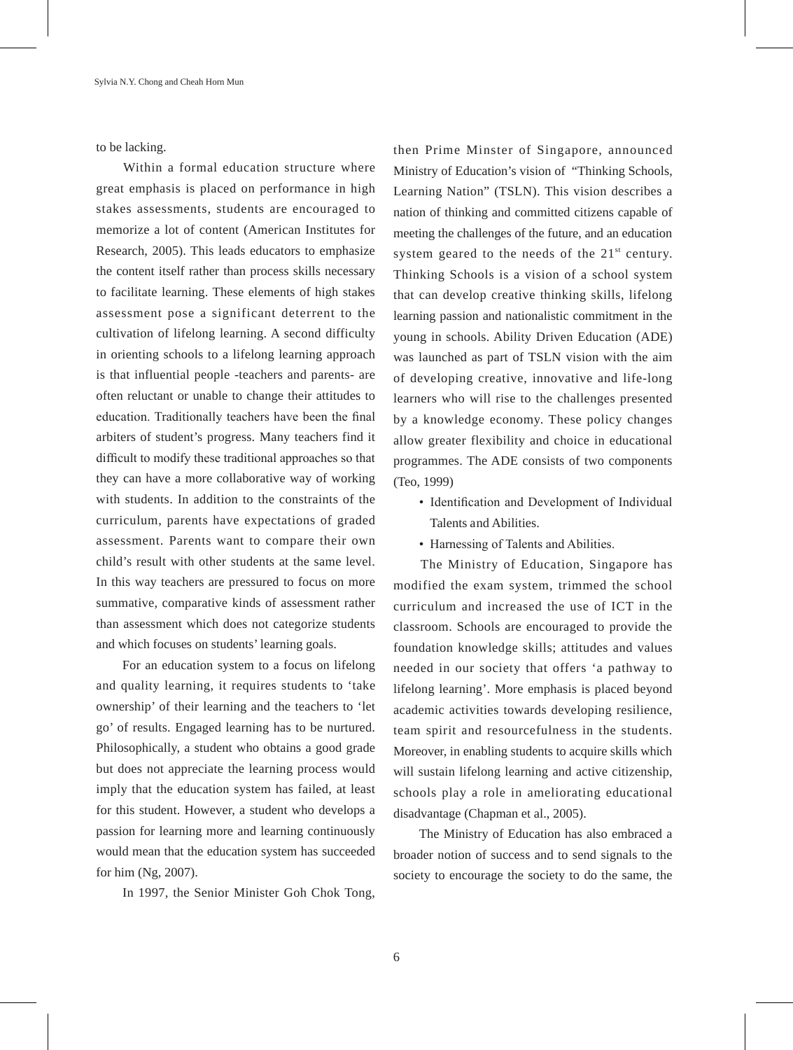to be lacking.

 Within a formal education structure where great emphasis is placed on performance in high stakes assessments, students are encouraged to memorize a lot of content (American Institutes for Research, 2005). This leads educators to emphasize the content itself rather than process skills necessary to facilitate learning. These elements of high stakes assessment pose a significant deterrent to the cultivation of lifelong learning. A second difficulty in orienting schools to a lifelong learning approach is that influential people -teachers and parents- are often reluctant or unable to change their attitudes to education. Traditionally teachers have been the final arbiters of student's progress. Many teachers find it difficult to modify these traditional approaches so that they can have a more collaborative way of working with students. In addition to the constraints of the curriculum, parents have expectations of graded assessment. Parents want to compare their own child's result with other students at the same level. In this way teachers are pressured to focus on more summative, comparative kinds of assessment rather than assessment which does not categorize students and which focuses on students' learning goals.

 For an education system to a focus on lifelong and quality learning, it requires students to 'take ownership' of their learning and the teachers to 'let go' of results. Engaged learning has to be nurtured. Philosophically, a student who obtains a good grade but does not appreciate the learning process would imply that the education system has failed, at least for this student. However, a student who develops a passion for learning more and learning continuously would mean that the education system has succeeded for him (Ng, 2007).

In 1997, the Senior Minister Goh Chok Tong,

then Prime Minster of Singapore, announced Ministry of Education's vision of "Thinking Schools, Learning Nation" (TSLN). This vision describes a nation of thinking and committed citizens capable of meeting the challenges of the future, and an education system geared to the needs of the  $21<sup>st</sup>$  century. Thinking Schools is a vision of a school system that can develop creative thinking skills, lifelong learning passion and nationalistic commitment in the young in schools. Ability Driven Education (ADE) was launched as part of TSLN vision with the aim of developing creative, innovative and life-long learners who will rise to the challenges presented by a knowledge economy. These policy changes allow greater flexibility and choice in educational programmes. The ADE consists of two components (Teo, 1999)

- Identification and Development of Individual Talents and Abilities.
- Harnessing of Talents and Abilities.

 The Ministry of Education, Singapore has modified the exam system, trimmed the school curriculum and increased the use of ICT in the classroom. Schools are encouraged to provide the foundation knowledge skills; attitudes and values needed in our society that offers 'a pathway to lifelong learning'. More emphasis is placed beyond academic activities towards developing resilience, team spirit and resourcefulness in the students. Moreover, in enabling students to acquire skills which will sustain lifelong learning and active citizenship, schools play a role in ameliorating educational disadvantage (Chapman et al., 2005).

 The Ministry of Education has also embraced a broader notion of success and to send signals to the society to encourage the society to do the same, the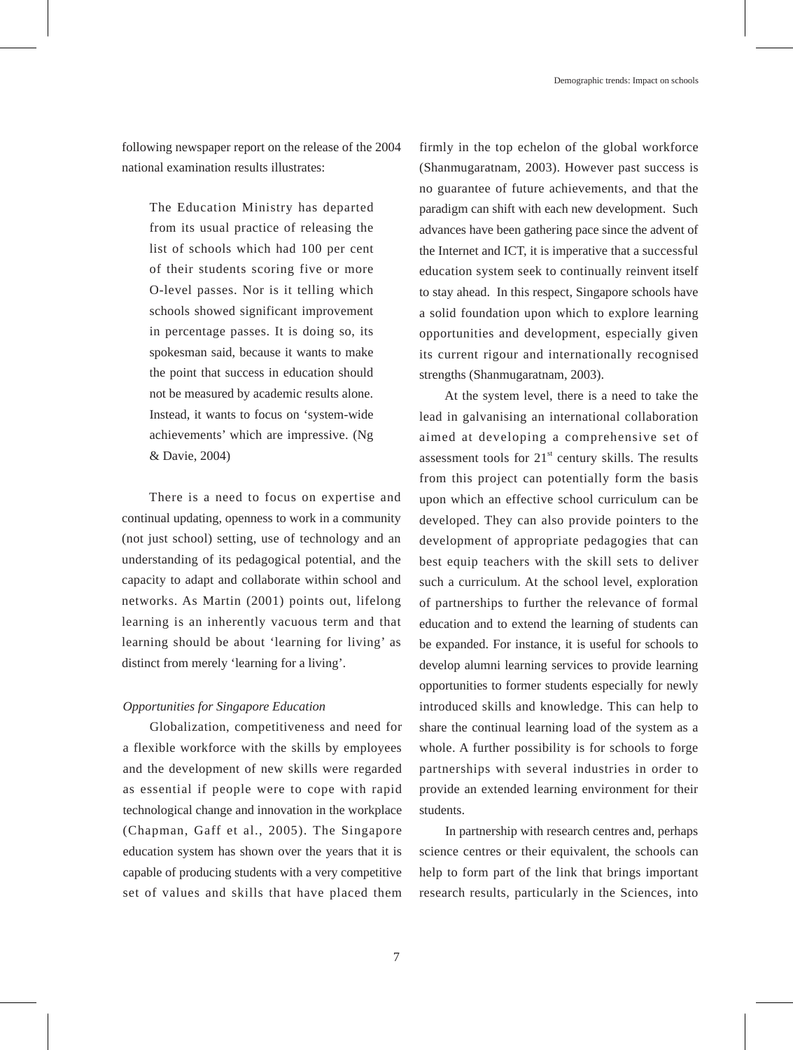following newspaper report on the release of the 2004 national examination results illustrates:

The Education Ministry has departed from its usual practice of releasing the list of schools which had 100 per cent of their students scoring five or more O-level passes. Nor is it telling which schools showed significant improvement in percentage passes. It is doing so, its spokesman said, because it wants to make the point that success in education should not be measured by academic results alone. Instead, it wants to focus on 'system-wide achievements' which are impressive. (Ng & Davie, 2004)

 There is a need to focus on expertise and continual updating, openness to work in a community (not just school) setting, use of technology and an understanding of its pedagogical potential, and the capacity to adapt and collaborate within school and networks. As Martin (2001) points out, lifelong learning is an inherently vacuous term and that learning should be about 'learning for living' as distinct from merely 'learning for a living'.

#### *Opportunities for Singapore Education*

 Globalization, competitiveness and need for a flexible workforce with the skills by employees and the development of new skills were regarded as essential if people were to cope with rapid technological change and innovation in the workplace (Chapman, Gaff et al., 2005). The Singapore education system has shown over the years that it is capable of producing students with a very competitive set of values and skills that have placed them

firmly in the top echelon of the global workforce (Shanmugaratnam, 2003). However past success is no guarantee of future achievements, and that the paradigm can shift with each new development. Such advances have been gathering pace since the advent of the Internet and ICT, it is imperative that a successful education system seek to continually reinvent itself to stay ahead. In this respect, Singapore schools have a solid foundation upon which to explore learning opportunities and development, especially given its current rigour and internationally recognised strengths (Shanmugaratnam, 2003).

 At the system level, there is a need to take the lead in galvanising an international collaboration aimed at developing a comprehensive set of assessment tools for  $21<sup>st</sup>$  century skills. The results from this project can potentially form the basis upon which an effective school curriculum can be developed. They can also provide pointers to the development of appropriate pedagogies that can best equip teachers with the skill sets to deliver such a curriculum. At the school level, exploration of partnerships to further the relevance of formal education and to extend the learning of students can be expanded. For instance, it is useful for schools to develop alumni learning services to provide learning opportunities to former students especially for newly introduced skills and knowledge. This can help to share the continual learning load of the system as a whole. A further possibility is for schools to forge partnerships with several industries in order to provide an extended learning environment for their students.

 In partnership with research centres and, perhaps science centres or their equivalent, the schools can help to form part of the link that brings important research results, particularly in the Sciences, into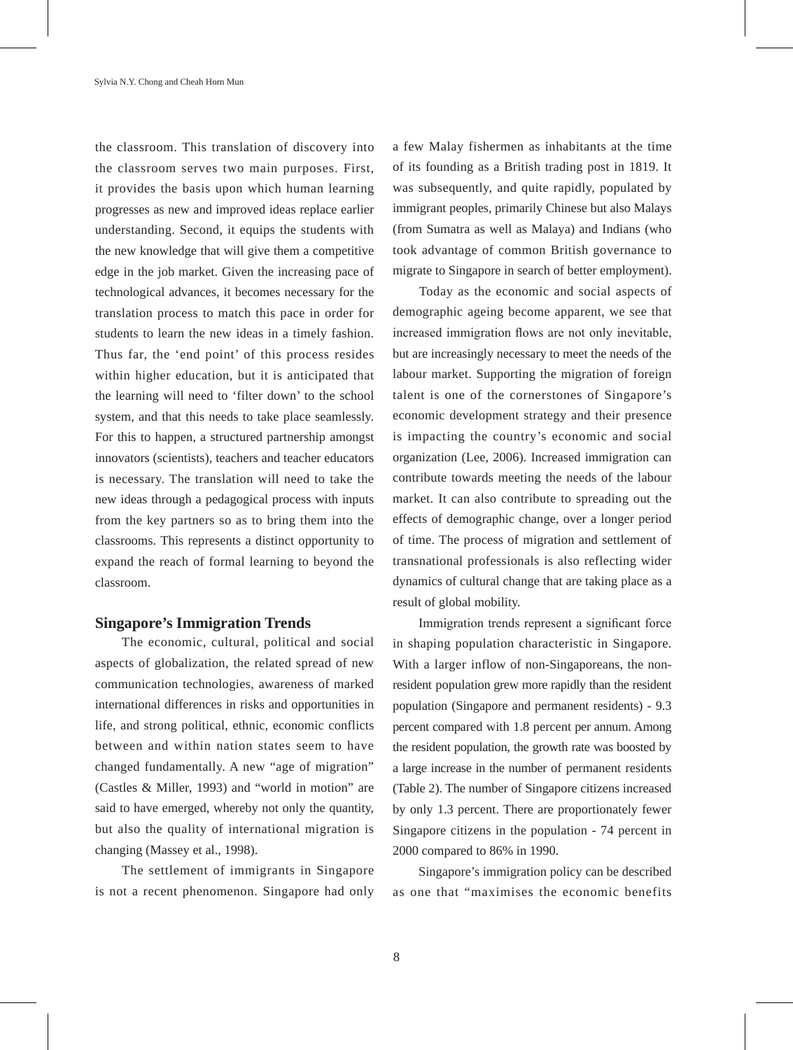the classroom. This translation of discovery into the classroom serves two main purposes. First, it provides the basis upon which human learning progresses as new and improved ideas replace earlier understanding. Second, it equips the students with the new knowledge that will give them a competitive edge in the job market. Given the increasing pace of technological advances, it becomes necessary for the translation process to match this pace in order for students to learn the new ideas in a timely fashion. Thus far, the 'end point' of this process resides within higher education, but it is anticipated that the learning will need to 'filter down' to the school system, and that this needs to take place seamlessly. For this to happen, a structured partnership amongst innovators (scientists), teachers and teacher educators is necessary. The translation will need to take the new ideas through a pedagogical process with inputs from the key partners so as to bring them into the classrooms. This represents a distinct opportunity to expand the reach of formal learning to beyond the classroom.

## **Singapore's Immigration Trends**

 The economic, cultural, political and social aspects of globalization, the related spread of new communication technologies, awareness of marked international differences in risks and opportunities in life, and strong political, ethnic, economic conflicts between and within nation states seem to have changed fundamentally. A new "age of migration" (Castles & Miller, 1993) and "world in motion" are said to have emerged, whereby not only the quantity, but also the quality of international migration is changing (Massey et al., 1998).

 The settlement of immigrants in Singapore is not a recent phenomenon. Singapore had only

a few Malay fishermen as inhabitants at the time of its founding as a British trading post in 1819. It was subsequently, and quite rapidly, populated by immigrant peoples, primarily Chinese but also Malays (from Sumatra as well as Malaya) and Indians (who took advantage of common British governance to migrate to Singapore in search of better employment).

 Today as the economic and social aspects of demographic ageing become apparent, we see that increased immigration flows are not only inevitable, but are increasingly necessary to meet the needs of the labour market. Supporting the migration of foreign talent is one of the cornerstones of Singapore's economic development strategy and their presence is impacting the country's economic and social organization (Lee, 2006). Increased immigration can contribute towards meeting the needs of the labour market. It can also contribute to spreading out the effects of demographic change, over a longer period of time. The process of migration and settlement of transnational professionals is also reflecting wider dynamics of cultural change that are taking place as a result of global mobility.

 Immigration trends represent a significant force in shaping population characteristic in Singapore. With a larger inflow of non-Singaporeans, the nonresident population grew more rapidly than the resident population (Singapore and permanent residents) - 9.3 percent compared with 1.8 percent per annum. Among the resident population, the growth rate was boosted by a large increase in the number of permanent residents (Table 2). The number of Singapore citizens increased by only 1.3 percent. There are proportionately fewer Singapore citizens in the population - 74 percent in 2000 compared to 86% in 1990.

 Singapore's immigration policy can be described as one that "maximises the economic benefits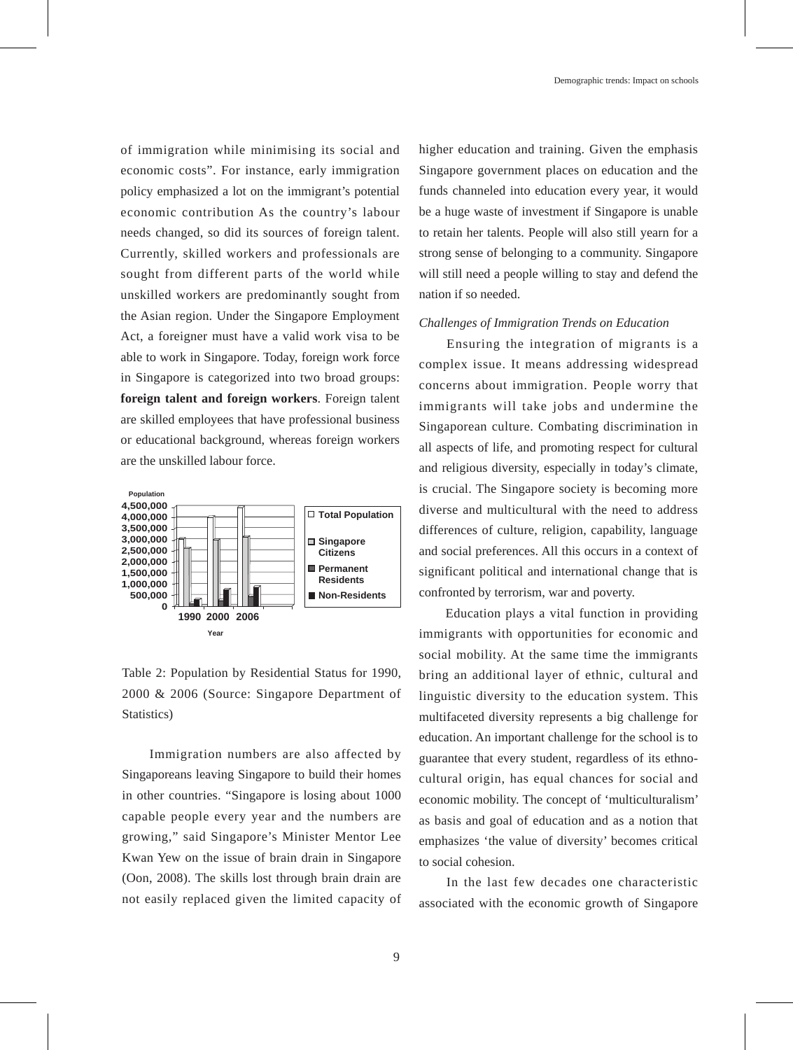of immigration while minimising its social and economic costs". For instance, early immigration policy emphasized a lot on the immigrant's potential economic contribution As the country's labour needs changed, so did its sources of foreign talent. Currently, skilled workers and professionals are sought from different parts of the world while unskilled workers are predominantly sought from the Asian region. Under the Singapore Employment Act, a foreigner must have a valid work visa to be able to work in Singapore. Today, foreign work force in Singapore is categorized into two broad groups: **foreign talent and foreign workers**. Foreign talent are skilled employees that have professional business or educational background, whereas foreign workers are the unskilled labour force.



Table 2: Population by Residential Status for 1990, 2000 & 2006 (Source: Singapore Department of Statistics)

 Immigration numbers are also affected by Singaporeans leaving Singapore to build their homes in other countries. "Singapore is losing about 1000 capable people every year and the numbers are growing," said Singapore's Minister Mentor Lee Kwan Yew on the issue of brain drain in Singapore (Oon, 2008). The skills lost through brain drain are not easily replaced given the limited capacity of higher education and training. Given the emphasis Singapore government places on education and the funds channeled into education every year, it would be a huge waste of investment if Singapore is unable to retain her talents. People will also still yearn for a strong sense of belonging to a community. Singapore will still need a people willing to stay and defend the nation if so needed.

#### *Challenges of Immigration Trends on Education*

 Ensuring the integration of migrants is a complex issue. It means addressing widespread concerns about immigration. People worry that immigrants will take jobs and undermine the Singaporean culture. Combating discrimination in all aspects of life, and promoting respect for cultural and religious diversity, especially in today's climate, is crucial. The Singapore society is becoming more diverse and multicultural with the need to address differences of culture, religion, capability, language and social preferences. All this occurs in a context of significant political and international change that is confronted by terrorism, war and poverty.

 Education plays a vital function in providing immigrants with opportunities for economic and social mobility. At the same time the immigrants bring an additional layer of ethnic, cultural and linguistic diversity to the education system. This multifaceted diversity represents a big challenge for education. An important challenge for the school is to guarantee that every student, regardless of its ethnocultural origin, has equal chances for social and economic mobility. The concept of 'multiculturalism' as basis and goal of education and as a notion that emphasizes 'the value of diversity' becomes critical to social cohesion.

 In the last few decades one characteristic associated with the economic growth of Singapore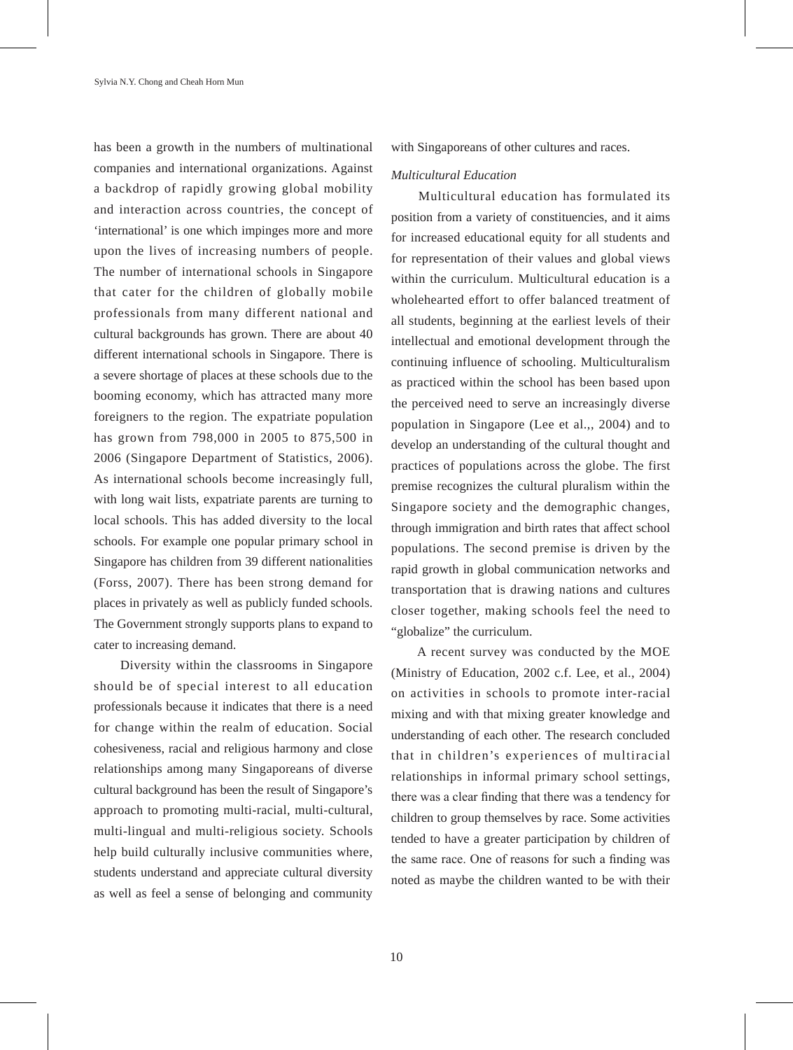has been a growth in the numbers of multinational companies and international organizations. Against a backdrop of rapidly growing global mobility and interaction across countries, the concept of 'international' is one which impinges more and more upon the lives of increasing numbers of people. The number of international schools in Singapore that cater for the children of globally mobile professionals from many different national and cultural backgrounds has grown. There are about 40 different international schools in Singapore. There is a severe shortage of places at these schools due to the booming economy, which has attracted many more foreigners to the region. The expatriate population has grown from 798,000 in 2005 to 875,500 in 2006 (Singapore Department of Statistics, 2006). As international schools become increasingly full, with long wait lists, expatriate parents are turning to local schools. This has added diversity to the local schools. For example one popular primary school in Singapore has children from 39 different nationalities (Forss, 2007). There has been strong demand for places in privately as well as publicly funded schools. The Government strongly supports plans to expand to cater to increasing demand.

 Diversity within the classrooms in Singapore should be of special interest to all education professionals because it indicates that there is a need for change within the realm of education. Social cohesiveness, racial and religious harmony and close relationships among many Singaporeans of diverse cultural background has been the result of Singapore's approach to promoting multi-racial, multi-cultural, multi-lingual and multi-religious society. Schools help build culturally inclusive communities where, students understand and appreciate cultural diversity as well as feel a sense of belonging and community with Singaporeans of other cultures and races.

### *Multicultural Education*

 Multicultural education has formulated its position from a variety of constituencies, and it aims for increased educational equity for all students and for representation of their values and global views within the curriculum. Multicultural education is a wholehearted effort to offer balanced treatment of all students, beginning at the earliest levels of their intellectual and emotional development through the continuing influence of schooling. Multiculturalism as practiced within the school has been based upon the perceived need to serve an increasingly diverse population in Singapore (Lee et al.,, 2004) and to develop an understanding of the cultural thought and practices of populations across the globe. The first premise recognizes the cultural pluralism within the Singapore society and the demographic changes, through immigration and birth rates that affect school populations. The second premise is driven by the rapid growth in global communication networks and transportation that is drawing nations and cultures closer together, making schools feel the need to "globalize" the curriculum.

 A recent survey was conducted by the MOE (Ministry of Education, 2002 c.f. Lee, et al., 2004) on activities in schools to promote inter-racial mixing and with that mixing greater knowledge and understanding of each other. The research concluded that in children's experiences of multiracial relationships in informal primary school settings, there was a clear finding that there was a tendency for children to group themselves by race. Some activities tended to have a greater participation by children of the same race. One of reasons for such a finding was noted as maybe the children wanted to be with their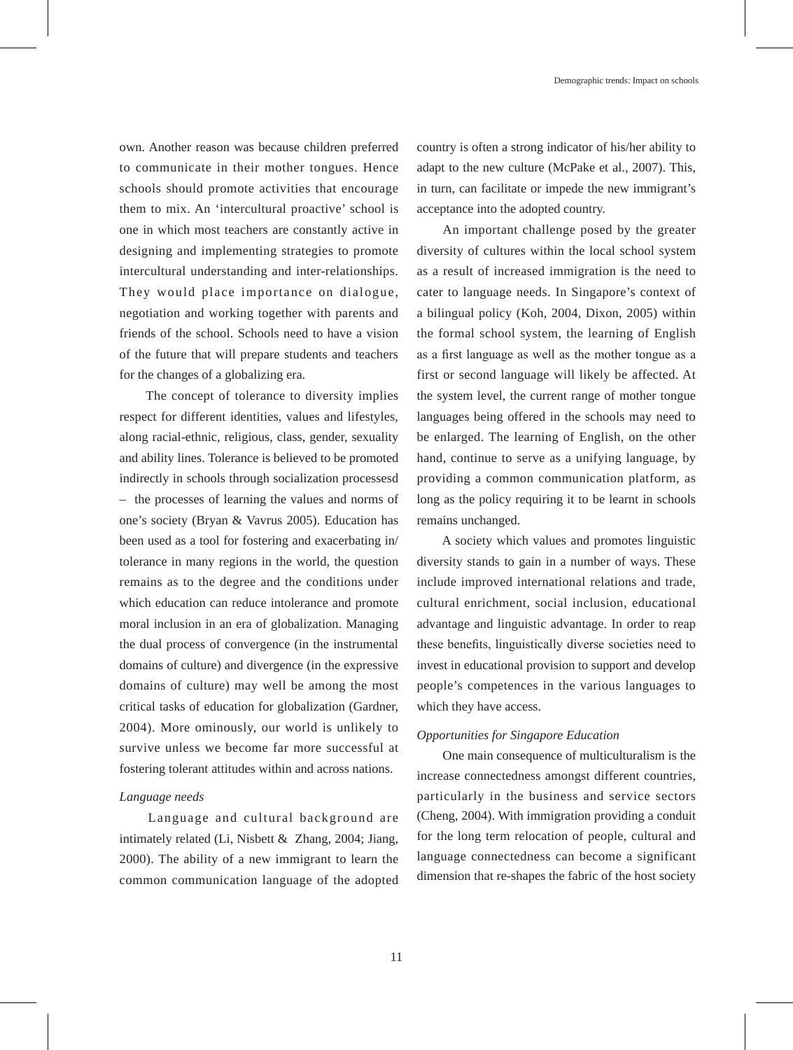own. Another reason was because children preferred to communicate in their mother tongues. Hence schools should promote activities that encourage them to mix. An 'intercultural proactive' school is one in which most teachers are constantly active in designing and implementing strategies to promote intercultural understanding and inter-relationships. They would place importance on dialogue, negotiation and working together with parents and friends of the school. Schools need to have a vision of the future that will prepare students and teachers for the changes of a globalizing era.

 The concept of tolerance to diversity implies respect for different identities, values and lifestyles, along racial-ethnic, religious, class, gender, sexuality and ability lines. Tolerance is believed to be promoted indirectly in schools through socialization processesd – the processes of learning the values and norms of one's society (Bryan & Vavrus 2005). Education has been used as a tool for fostering and exacerbating in/ tolerance in many regions in the world, the question remains as to the degree and the conditions under which education can reduce intolerance and promote moral inclusion in an era of globalization. Managing the dual process of convergence (in the instrumental domains of culture) and divergence (in the expressive domains of culture) may well be among the most critical tasks of education for globalization (Gardner, 2004). More ominously, our world is unlikely to survive unless we become far more successful at fostering tolerant attitudes within and across nations.

#### *Language needs*

 Language and cultural background are intimately related (Li, Nisbett & Zhang, 2004; Jiang, 2000). The ability of a new immigrant to learn the common communication language of the adopted country is often a strong indicator of his/her ability to adapt to the new culture (McPake et al., 2007). This, in turn, can facilitate or impede the new immigrant's acceptance into the adopted country.

 An important challenge posed by the greater diversity of cultures within the local school system as a result of increased immigration is the need to cater to language needs. In Singapore's context of a bilingual policy (Koh, 2004, Dixon, 2005) within the formal school system, the learning of English as a first language as well as the mother tongue as a first or second language will likely be affected. At the system level, the current range of mother tongue languages being offered in the schools may need to be enlarged. The learning of English, on the other hand, continue to serve as a unifying language, by providing a common communication platform, as long as the policy requiring it to be learnt in schools remains unchanged.

 A society which values and promotes linguistic diversity stands to gain in a number of ways. These include improved international relations and trade, cultural enrichment, social inclusion, educational advantage and linguistic advantage. In order to reap these benefits, linguistically diverse societies need to invest in educational provision to support and develop people's competences in the various languages to which they have access.

#### *Opportunities for Singapore Education*

 One main consequence of multiculturalism is the increase connectedness amongst different countries, particularly in the business and service sectors (Cheng, 2004). With immigration providing a conduit for the long term relocation of people, cultural and language connectedness can become a significant dimension that re-shapes the fabric of the host society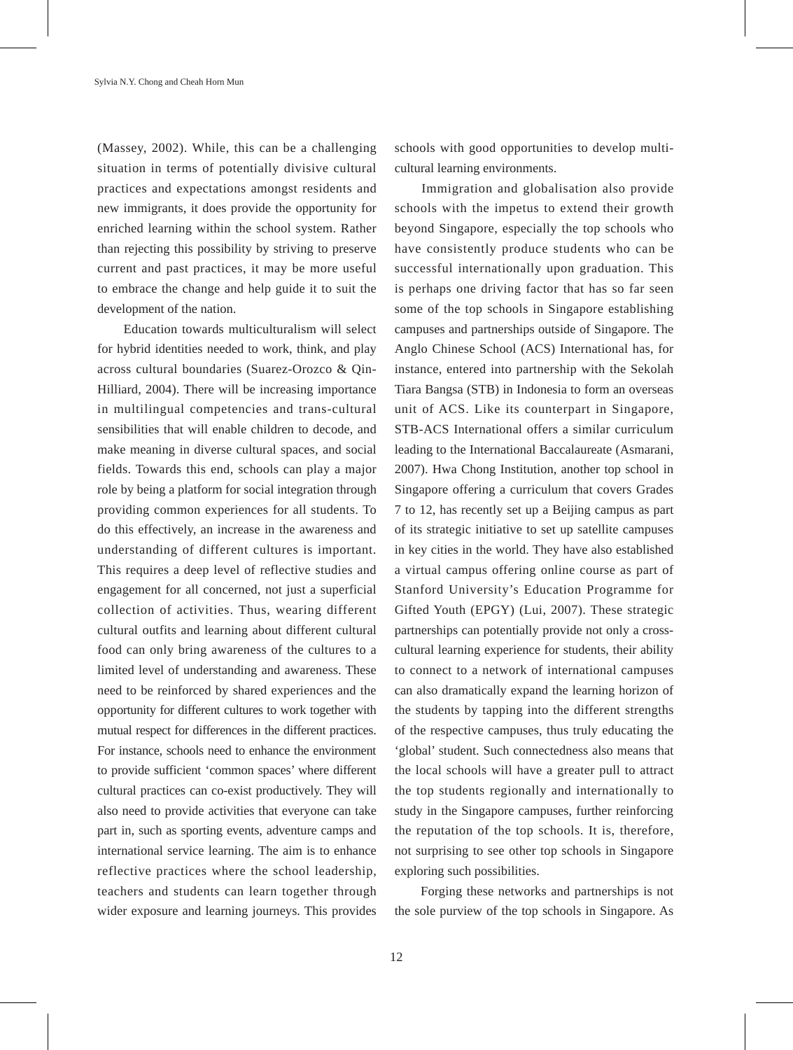(Massey, 2002). While, this can be a challenging situation in terms of potentially divisive cultural practices and expectations amongst residents and new immigrants, it does provide the opportunity for enriched learning within the school system. Rather than rejecting this possibility by striving to preserve current and past practices, it may be more useful to embrace the change and help guide it to suit the development of the nation.

 Education towards multiculturalism will select for hybrid identities needed to work, think, and play across cultural boundaries (Suarez-Orozco & Qin-Hilliard, 2004). There will be increasing importance in multilingual competencies and trans-cultural sensibilities that will enable children to decode, and make meaning in diverse cultural spaces, and social fields. Towards this end, schools can play a major role by being a platform for social integration through providing common experiences for all students. To do this effectively, an increase in the awareness and understanding of different cultures is important. This requires a deep level of reflective studies and engagement for all concerned, not just a superficial collection of activities. Thus, wearing different cultural outfits and learning about different cultural food can only bring awareness of the cultures to a limited level of understanding and awareness. These need to be reinforced by shared experiences and the opportunity for different cultures to work together with mutual respect for differences in the different practices. For instance, schools need to enhance the environment to provide sufficient 'common spaces' where different cultural practices can co-exist productively. They will also need to provide activities that everyone can take part in, such as sporting events, adventure camps and international service learning. The aim is to enhance reflective practices where the school leadership, teachers and students can learn together through wider exposure and learning journeys. This provides schools with good opportunities to develop multicultural learning environments.

 Immigration and globalisation also provide schools with the impetus to extend their growth beyond Singapore, especially the top schools who have consistently produce students who can be successful internationally upon graduation. This is perhaps one driving factor that has so far seen some of the top schools in Singapore establishing campuses and partnerships outside of Singapore. The Anglo Chinese School (ACS) International has, for instance, entered into partnership with the Sekolah Tiara Bangsa (STB) in Indonesia to form an overseas unit of ACS. Like its counterpart in Singapore, STB-ACS International offers a similar curriculum leading to the International Baccalaureate (Asmarani, 2007). Hwa Chong Institution, another top school in Singapore offering a curriculum that covers Grades 7 to 12, has recently set up a Beijing campus as part of its strategic initiative to set up satellite campuses in key cities in the world. They have also established a virtual campus offering online course as part of Stanford University's Education Programme for Gifted Youth (EPGY) (Lui, 2007). These strategic partnerships can potentially provide not only a crosscultural learning experience for students, their ability to connect to a network of international campuses can also dramatically expand the learning horizon of the students by tapping into the different strengths of the respective campuses, thus truly educating the 'global' student. Such connectedness also means that the local schools will have a greater pull to attract the top students regionally and internationally to study in the Singapore campuses, further reinforcing the reputation of the top schools. It is, therefore, not surprising to see other top schools in Singapore exploring such possibilities.

 Forging these networks and partnerships is not the sole purview of the top schools in Singapore. As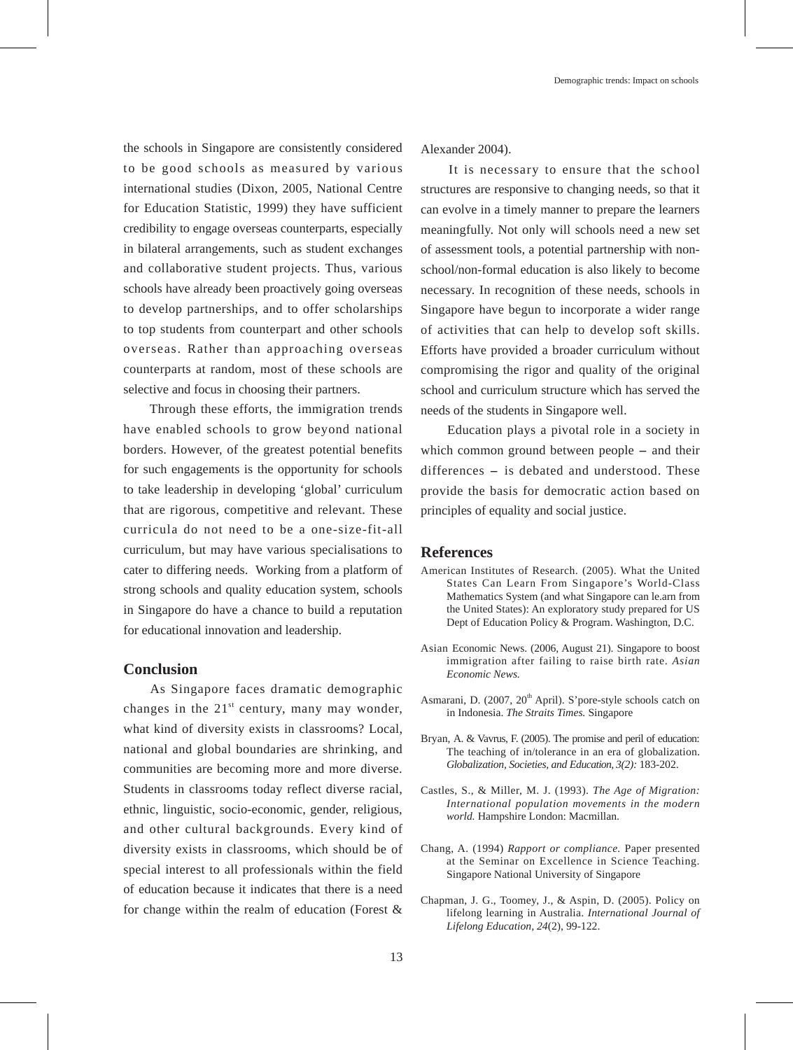the schools in Singapore are consistently considered to be good schools as measured by various international studies (Dixon, 2005, National Centre for Education Statistic, 1999) they have sufficient credibility to engage overseas counterparts, especially in bilateral arrangements, such as student exchanges and collaborative student projects. Thus, various schools have already been proactively going overseas to develop partnerships, and to offer scholarships to top students from counterpart and other schools overseas. Rather than approaching overseas counterparts at random, most of these schools are selective and focus in choosing their partners.

 Through these efforts, the immigration trends have enabled schools to grow beyond national borders. However, of the greatest potential benefits for such engagements is the opportunity for schools to take leadership in developing 'global' curriculum that are rigorous, competitive and relevant. These curricula do not need to be a one-size-fit-all curriculum, but may have various specialisations to cater to differing needs. Working from a platform of strong schools and quality education system, schools in Singapore do have a chance to build a reputation for educational innovation and leadership.

### **Conclusion**

 As Singapore faces dramatic demographic changes in the  $21^{st}$  century, many may wonder, what kind of diversity exists in classrooms? Local, national and global boundaries are shrinking, and communities are becoming more and more diverse. Students in classrooms today reflect diverse racial, ethnic, linguistic, socio-economic, gender, religious, and other cultural backgrounds. Every kind of diversity exists in classrooms, which should be of special interest to all professionals within the field of education because it indicates that there is a need for change within the realm of education (Forest &

Alexander 2004).

 It is necessary to ensure that the school structures are responsive to changing needs, so that it can evolve in a timely manner to prepare the learners meaningfully. Not only will schools need a new set of assessment tools, a potential partnership with nonschool/non-formal education is also likely to become necessary. In recognition of these needs, schools in Singapore have begun to incorporate a wider range of activities that can help to develop soft skills. Efforts have provided a broader curriculum without compromising the rigor and quality of the original school and curriculum structure which has served the needs of the students in Singapore well.

 Education plays a pivotal role in a society in which common ground between people – and their differences - is debated and understood. These provide the basis for democratic action based on principles of equality and social justice.

#### **References**

- American Institutes of Research. (2005). What the United States Can Learn From Singapore's World-Class Mathematics System (and what Singapore can le.arn from the United States): An exploratory study prepared for US Dept of Education Policy & Program. Washington, D.C.
- Asian Economic News. (2006, August 21). Singapore to boost immigration after failing to raise birth rate. *Asian Economic News.*
- Asmarani, D. (2007, 20<sup>th</sup> April). S'pore-style schools catch on in Indonesia. *The Straits Times.* Singapore
- Bryan, A. & Vavrus, F. (2005). The promise and peril of education: The teaching of in/tolerance in an era of globalization. *Globalization, Societies, and Education, 3(2):* 183-202.
- Castles, S., & Miller, M. J. (1993). *The Age of Migration: International population movements in the modern world.* Hampshire London: Macmillan.
- Chang, A. (1994) *Rapport or compliance.* Paper presented at the Seminar on Excellence in Science Teaching. Singapore National University of Singapore
- Chapman, J. G., Toomey, J., & Aspin, D. (2005). Policy on lifelong learning in Australia. *International Journal of Lifelong Education, 24*(2), 99-122.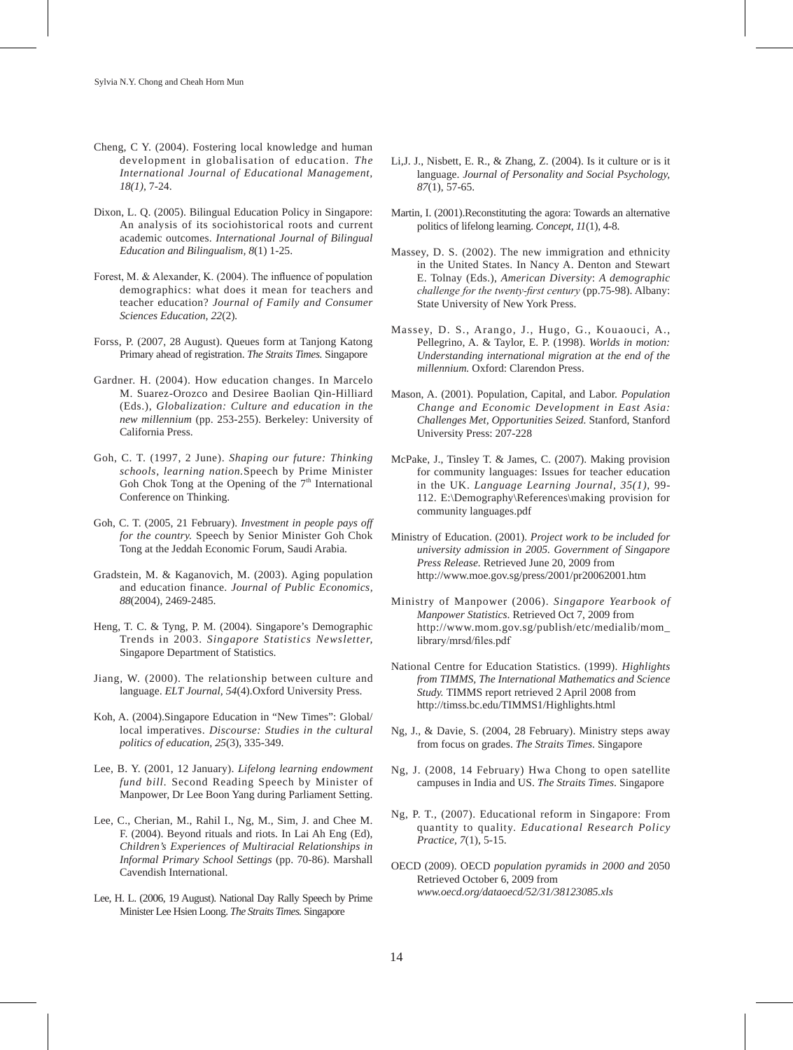- Cheng, C Y. (2004). Fostering local knowledge and human development in globalisation of education. *The International Journal of Educational Management, 18(1)*, 7-24.
- Dixon, L. Q. (2005). Bilingual Education Policy in Singapore: An analysis of its sociohistorical roots and current academic outcomes. *International Journal of Bilingual Education and Bilingualism, 8*(1) 1-25.
- Forest, M. & Alexander, K. (2004). The influence of population demographics: what does it mean for teachers and teacher education? *Journal of Family and Consumer Sciences Education, 22*(2)*.*
- Forss, P. (2007, 28 August). Queues form at Tanjong Katong Primary ahead of registration. *The Straits Times.* Singapore
- Gardner. H. (2004). How education changes. In Marcelo M. Suarez-Orozco and Desiree Baolian Qin-Hilliard (Eds.), *Globalization: Culture and education in the new millennium* (pp. 253-255). Berkeley: University of California Press.
- Goh, C. T. (1997, 2 June). *Shaping our future: Thinking schools, learning nation.*Speech by Prime Minister Goh Chok Tong at the Opening of the  $7<sup>th</sup>$  International Conference on Thinking.
- Goh, C. T. (2005, 21 February). *Investment in people pays off for the country.* Speech by Senior Minister Goh Chok Tong at the Jeddah Economic Forum, Saudi Arabia.
- Gradstein, M. & Kaganovich, M. (2003). Aging population and education finance. *Journal of Public Economics, 88*(2004), 2469-2485.
- Heng, T. C. & Tyng, P. M. (2004). Singapore's Demographic Trends in 2003. *Singapore Statistics Newsletter,*  Singapore Department of Statistics.
- Jiang, W. (2000). The relationship between culture and language. *ELT Journal, 54*(4).Oxford University Press.
- Koh, A. (2004).Singapore Education in "New Times": Global/ local imperatives. *Discourse: Studies in the cultural politics of education, 25*(3), 335-349.
- Lee, B. Y. (2001, 12 January). *Lifelong learning endowment fund bill.* Second Reading Speech by Minister of Manpower, Dr Lee Boon Yang during Parliament Setting.
- Lee, C., Cherian, M., Rahil I., Ng, M., Sim, J. and Chee M. F. (2004). Beyond rituals and riots. In Lai Ah Eng (Ed), *Children's Experiences of Multiracial Relationships in Informal Primary School Settings* (pp. 70-86). Marshall Cavendish International.
- Lee, H. L. (2006, 19 August). National Day Rally Speech by Prime Minister Lee Hsien Loong. *The Straits Times.* Singapore
- Li,J. J., Nisbett, E. R., & Zhang, Z. (2004). Is it culture or is it language. *Journal of Personality and Social Psychology, 87*(1), 57-65.
- Martin, I. (2001).Reconstituting the agora: Towards an alternative politics of lifelong learning. *Concept, 11*(1), 4-8.
- Massey, D. S. (2002). The new immigration and ethnicity in the United States. In Nancy A. Denton and Stewart E. Tolnay (Eds.), *American Diversity*: *A demographic challenge for the twenty-first century* (pp.75-98). Albany: State University of New York Press.
- Massey, D. S., Arango, J., Hugo, G., Kouaouci, A., Pellegrino, A. & Taylor, E. P. (1998). *Worlds in motion: Understanding international migration at the end of the millennium.* Oxford: Clarendon Press.
- Mason, A. (2001). Population, Capital, and Labor. *Population Change and Economic Development in East Asia: Challenges Met, Opportunities Seized.* Stanford, Stanford University Press: 207-228
- McPake, J., Tinsley T. & James, C. (2007). Making provision for community languages: Issues for teacher education in the UK. *Language Learning Journal, 35(1)*, 99- 112. E:\Demography\References\making provision for community languages.pdf
- Ministry of Education. (2001). *Project work to be included for university admission in 2005. Government of Singapore Press Release.* Retrieved June 20, 2009 from http://www.moe.gov.sg/press/2001/pr20062001.htm
- Ministry of Manpower (2006). *Singapore Yearbook of Manpower Statistics*. Retrieved Oct 7, 2009 from http://www.mom.gov.sg/publish/etc/medialib/mom\_ library/mrsd/files.pdf
- National Centre for Education Statistics. (1999). *Highlights from TIMMS, The International Mathematics and Science Study.* TIMMS report retrieved 2 April 2008 from http://timss.bc.edu/TIMMS1/Highlights.html
- Ng, J., & Davie, S. (2004, 28 February). Ministry steps away from focus on grades. *The Straits Times*. Singapore
- Ng, J. (2008, 14 February) Hwa Chong to open satellite campuses in India and US. *The Straits Times*. Singapore
- Ng, P. T., (2007). Educational reform in Singapore: From quantity to quality. *Educational Research Policy Practice, 7*(1), 5-15.
- OECD (2009). OECD *population pyramids in 2000 and* 2050 Retrieved October 6, 2009 from *www.oecd.org/dataoecd/52/31/38123085.xls*